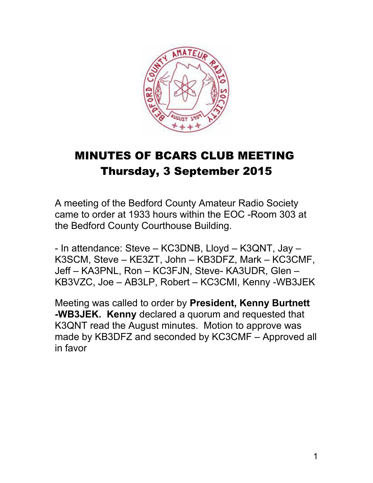

# MINUTES OF BCARS CLUB MEETING Thursday, 3 September 2015

A meeting of the Bedford County Amateur Radio Society came to order at 1933 hours within the EOC -Room 303 at the Bedford County Courthouse Building*.* 

- In attendance: Steve – KC3DNB, Lloyd – K3QNT, Jay – K3SCM, Steve – KE3ZT, John – KB3DFZ, Mark – KC3CMF, Jeff – KA3PNL, Ron – KC3FJN, Steve- KA3UDR, Glen – KB3VZC, Joe – AB3LP, Robert – KC3CMI, Kenny -WB3JEK

Meeting was called to order by **President, Kenny Burtnett -WB3JEK. Kenny** declared a quorum and requested that K3QNT read the August minutes. Motion to approve was made by KB3DFZ and seconded by KC3CMF – Approved all in favor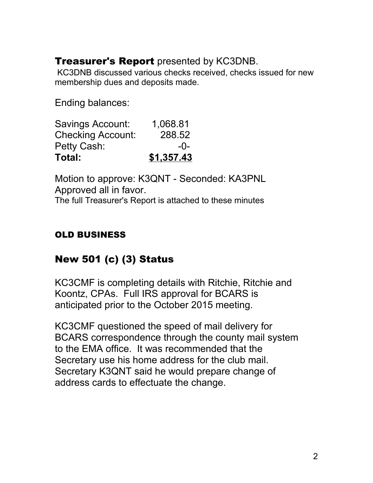# **Treasurer's Report** presented by KC3DNB.

KC3DNB discussed various checks received, checks issued for new membership dues and deposits made.

Ending balances:

| Total:                   | \$1,357.43 |
|--------------------------|------------|
| Petty Cash:              | $-0-$      |
| <b>Checking Account:</b> | 288.52     |
| <b>Savings Account:</b>  | 1,068.81   |

Motion to approve: K3QNT - Seconded: KA3PNL Approved all in favor.

The full Treasurer's Report is attached to these minutes

## OLD BUSINESS

# New 501 (c) (3) Status

KC3CMF is completing details with Ritchie, Ritchie and Koontz, CPAs. Full IRS approval for BCARS is anticipated prior to the October 2015 meeting.

KC3CMF questioned the speed of mail delivery for BCARS correspondence through the county mail system to the EMA office. It was recommended that the Secretary use his home address for the club mail. Secretary K3QNT said he would prepare change of address cards to effectuate the change.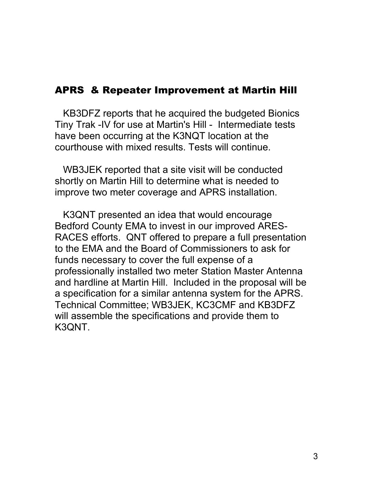### APRS & Repeater Improvement at Martin Hill

 KB3DFZ reports that he acquired the budgeted Bionics Tiny Trak -IV for use at Martin's Hill - Intermediate tests have been occurring at the K3NQT location at the courthouse with mixed results. Tests will continue.

 WB3JEK reported that a site visit will be conducted shortly on Martin Hill to determine what is needed to improve two meter coverage and APRS installation.

 K3QNT presented an idea that would encourage Bedford County EMA to invest in our improved ARES-RACES efforts. QNT offered to prepare a full presentation to the EMA and the Board of Commissioners to ask for funds necessary to cover the full expense of a professionally installed two meter Station Master Antenna and hardline at Martin Hill. Included in the proposal will be a specification for a similar antenna system for the APRS. Technical Committee; WB3JEK, KC3CMF and KB3DFZ will assemble the specifications and provide them to K3QNT.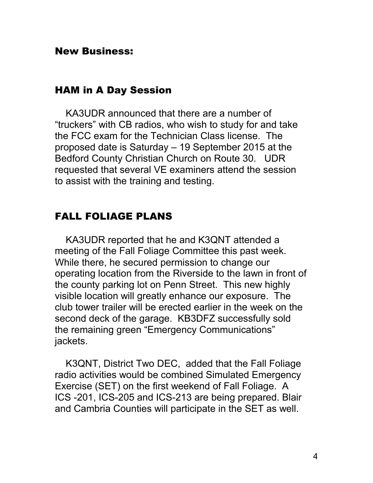#### New Business:

#### HAM in A Day Session

 KA3UDR announced that there are a number of "truckers" with CB radios, who wish to study for and take the FCC exam for the Technician Class license. The proposed date is Saturday – 19 September 2015 at the Bedford County Christian Church on Route 30. UDR requested that several VE examiners attend the session to assist with the training and testing.

#### FALL FOLIAGE PLANS

 KA3UDR reported that he and K3QNT attended a meeting of the Fall Foliage Committee this past week. While there, he secured permission to change our operating location from the Riverside to the lawn in front of the county parking lot on Penn Street. This new highly visible location will greatly enhance our exposure. The club tower trailer will be erected earlier in the week on the second deck of the garage. KB3DFZ successfully sold the remaining green "Emergency Communications" jackets.

 K3QNT, District Two DEC, added that the Fall Foliage radio activities would be combined Simulated Emergency Exercise (SET) on the first weekend of Fall Foliage. A ICS -201, ICS-205 and ICS-213 are being prepared. Blair and Cambria Counties will participate in the SET as well.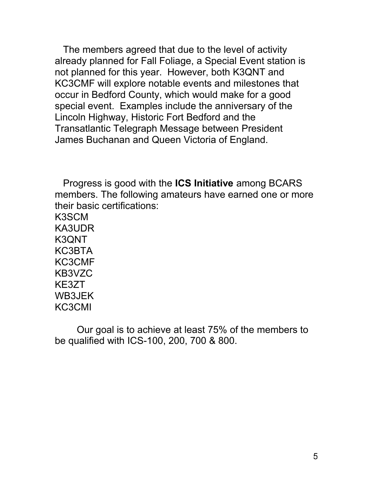The members agreed that due to the level of activity already planned for Fall Foliage, a Special Event station is not planned for this year. However, both K3QNT and KC3CMF will explore notable events and milestones that occur in Bedford County, which would make for a good special event. Examples include the anniversary of the Lincoln Highway, Historic Fort Bedford and the Transatlantic Telegraph Message between President James Buchanan and Queen Victoria of England.

 Progress is good with the **ICS Initiative** among BCARS members. The following amateurs have earned one or more their basic certifications: K3SCM

KA3UDR K3QNT KC3BTA KC3CMF KB3VZC KE3ZT WB3JEK KC3CMI

Our goal is to achieve at least 75% of the members to be qualified with ICS-100, 200, 700 & 800.